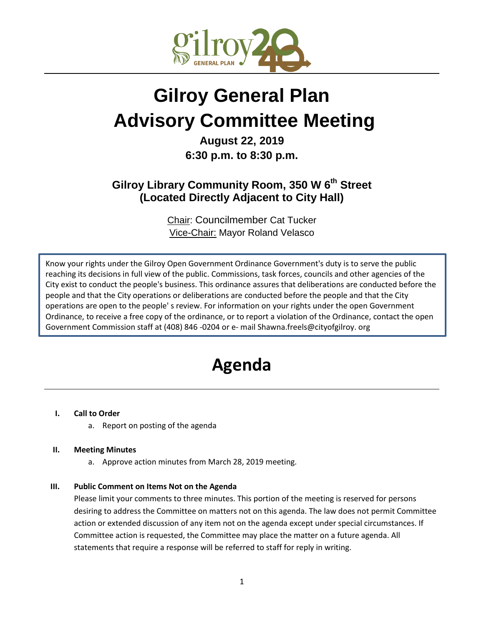

# **Gilroy General Plan Advisory Committee Meeting**

### **August 22, 2019 6:30 p.m. to 8:30 p.m.**

## **Gilroy Library Community Room, 350 W 6th Street (Located Directly Adjacent to City Hall)**

Chair: Councilmember Cat Tucker Vice-Chair: Mayor Roland Velasco

Know your rights under the Gilroy Open Government Ordinance Government's duty is to serve the public reaching its decisions in full view of the public. Commissions, task forces, councils and other agencies of the City exist to conduct the people's business. This ordinance assures that deliberations are conducted before the people and that the City operations or deliberations are conducted before the people and that the City operations are open to the people' s review. For information on your rights under the open Government Ordinance, to receive a free copy of the ordinance, or to report a violation of the Ordinance, contact the open Government Commission staff at (408) 846 -0204 or e- mail Shawna.freels@cityofgilroy. org

## **Agenda**

#### **I. Call to Order**

a. Report on posting of the agenda

#### **II. Meeting Minutes**

a. Approve action minutes from March 28, 2019 meeting.

#### **III. Public Comment on Items Not on the Agenda**

Please limit your comments to three minutes. This portion of the meeting is reserved for persons desiring to address the Committee on matters not on this agenda. The law does not permit Committee action or extended discussion of any item not on the agenda except under special circumstances. If Committee action is requested, the Committee may place the matter on a future agenda. All statements that require a response will be referred to staff for reply in writing.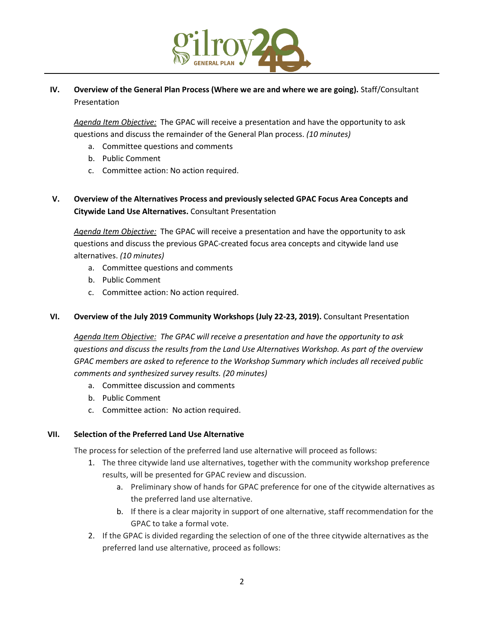

#### **IV. Overview of the General Plan Process (Where we are and where we are going).** Staff/Consultant Presentation

*Agenda Item Objective:* The GPAC will receive a presentation and have the opportunity to ask questions and discuss the remainder of the General Plan process. *(10 minutes)*

- a. Committee questions and comments
- b. Public Comment
- c. Committee action: No action required.

#### **V. Overview of the Alternatives Process and previously selected GPAC Focus Area Concepts and Citywide Land Use Alternatives.** Consultant Presentation

*Agenda Item Objective:* The GPAC will receive a presentation and have the opportunity to ask questions and discuss the previous GPAC-created focus area concepts and citywide land use alternatives. *(10 minutes)*

- a. Committee questions and comments
- b. Public Comment
- c. Committee action: No action required.

#### **VI. Overview of the July 2019 Community Workshops (July 22-23, 2019).** Consultant Presentation

*Agenda Item Objective: The GPAC will receive a presentation and have the opportunity to ask questions and discuss the results from the Land Use Alternatives Workshop. As part of the overview GPAC members are asked to reference to the Workshop Summary which includes all received public comments and synthesized survey results. (20 minutes)*

- a. Committee discussion and comments
- b. Public Comment
- c. Committee action: No action required.

#### **VII. Selection of the Preferred Land Use Alternative**

The process for selection of the preferred land use alternative will proceed as follows:

- 1. The three citywide land use alternatives, together with the community workshop preference results, will be presented for GPAC review and discussion.
	- a. Preliminary show of hands for GPAC preference for one of the citywide alternatives as the preferred land use alternative.
	- b. If there is a clear majority in support of one alternative, staff recommendation for the GPAC to take a formal vote.
- 2. If the GPAC is divided regarding the selection of one of the three citywide alternatives as the preferred land use alternative, proceed as follows: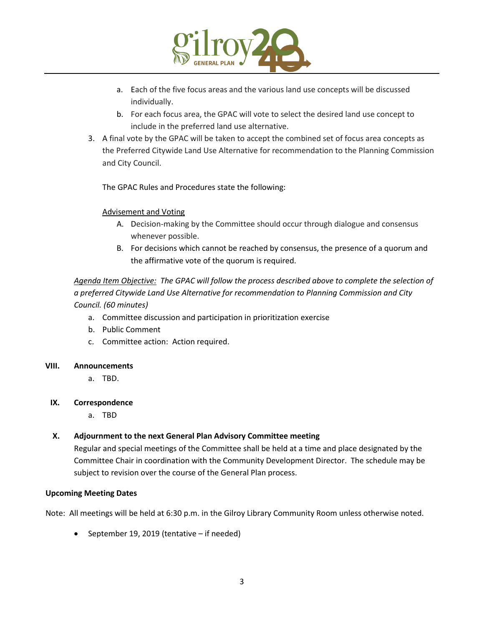

- a. Each of the five focus areas and the various land use concepts will be discussed individually.
- b. For each focus area, the GPAC will vote to select the desired land use concept to include in the preferred land use alternative.
- 3. A final vote by the GPAC will be taken to accept the combined set of focus area concepts as the Preferred Citywide Land Use Alternative for recommendation to the Planning Commission and City Council.

The GPAC Rules and Procedures state the following:

#### Advisement and Voting

- A. Decision-making by the Committee should occur through dialogue and consensus whenever possible.
- B. For decisions which cannot be reached by consensus, the presence of a quorum and the affirmative vote of the quorum is required.

#### *Agenda Item Objective: The GPAC will follow the process described above to complete the selection of a preferred Citywide Land Use Alternative for recommendation to Planning Commission and City Council. (60 minutes)*

- a. Committee discussion and participation in prioritization exercise
- b. Public Comment
- c. Committee action: Action required.

#### **VIII. Announcements**

a. TBD.

#### **IX. Correspondence**

a. TBD

#### **X. Adjournment to the next General Plan Advisory Committee meeting**

Regular and special meetings of the Committee shall be held at a time and place designated by the Committee Chair in coordination with the Community Development Director. The schedule may be subject to revision over the course of the General Plan process.

#### **Upcoming Meeting Dates**

Note: All meetings will be held at 6:30 p.m. in the Gilroy Library Community Room unless otherwise noted.

 $\bullet$  September 19, 2019 (tentative – if needed)